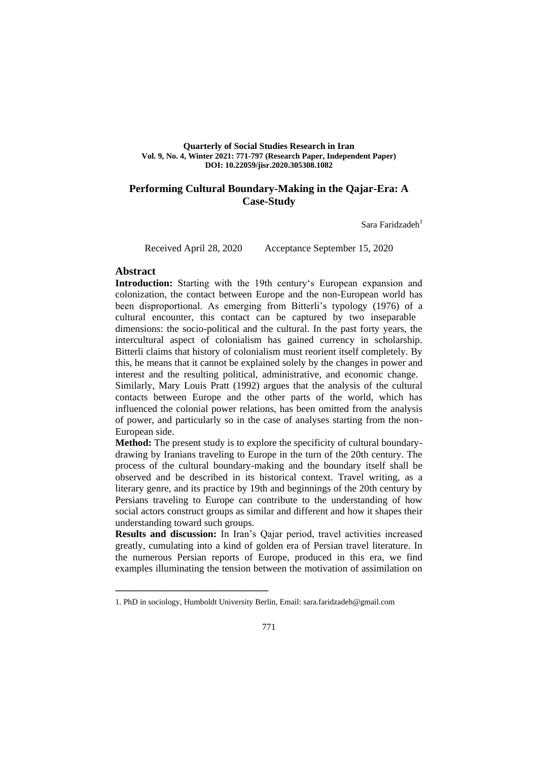#### **Quarterly of Social Studies Research in Iran Vol. 9, No. 4, Winter 2021: 771-797 (Research Paper, Independent Paper) DOI: 10.22059/jisr.2020.305308.1082**

## **Performing Cultural Boundary-Making in the Qajar-Era: A Case-Study**

Sara Faridzade $h<sup>1</sup>$ 

Received April 28, 2020 Acceptance September 15, 2020

## **Abstract**

**Introduction:** Starting with the 19th century's European expansion and colonization, the contact between Europe and the non-European world has been disproportional. As emerging from Bitterli's typology (1976) of a cultural encounter, this contact can be captured by two inseparable dimensions: the socio-political and the cultural. In the past forty years, the intercultural aspect of colonialism has gained currency in scholarship. Bitterli claims that history of colonialism must reorient itself completely. By this, he means that it cannot be explained solely by the changes in power and interest and the resulting political, administrative, and economic change. Similarly, Mary Louis Pratt (1992) argues that the analysis of the cultural

contacts between Europe and the other parts of the world, which has influenced the colonial power relations, has been omitted from the analysis of power, and particularly so in the case of analyses starting from the non-European side.

**Method:** The present study is to explore the specificity of cultural boundarydrawing by Iranians traveling to Europe in the turn of the 20th century. The process of the cultural boundary-making and the boundary itself shall be observed and be described in its historical context. Travel writing, as a literary genre, and its practice by 19th and beginnings of the 20th century by Persians traveling to Europe can contribute to the understanding of how social actors construct groups as similar and different and how it shapes their understanding toward such groups.

**Results and discussion:** In Iran's Qajar period, travel activities increased greatly, cumulating into a kind of golden era of Persian travel literature. In the numerous Persian reports of Europe, produced in this era, we find examples illuminating the tension between the motivation of assimilation on

<sup>1.</sup> PhD in sociology, Humboldt University Berlin, Email: sara.faridzadeh@gmail.com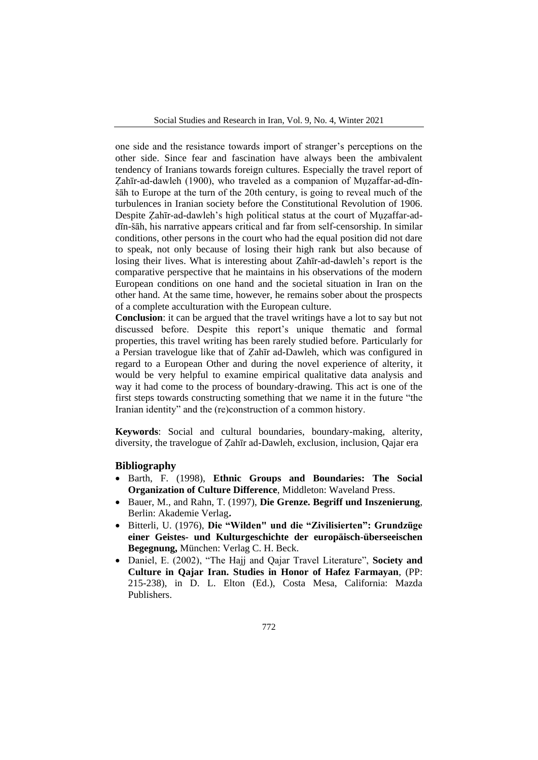one side and the resistance towards import of stranger's perceptions on the other side. Since fear and fascination have always been the ambivalent tendency of Iranians towards foreign cultures. Especially the travel report of Zahīr-ad-dawleh (1900), who traveled as a companion of Muzaffar-ad-dīnšāh to Europe at the turn of the 20th century, is going to reveal much of the turbulences in Iranian society before the Constitutional Revolution of 1906. Despite Zahīr-ad-dawleh's high political status at the court of Muzaffar-addīn-šāh, his narrative appears critical and far from self-censorship. In similar conditions, other persons in the court who had the equal position did not dare to speak, not only because of losing their high rank but also because of losing their lives. What is interesting about Ẓahīr-ad-dawleh's report is the comparative perspective that he maintains in his observations of the modern European conditions on one hand and the societal situation in Iran on the other hand. At the same time, however, he remains sober about the prospects of a complete acculturation with the European culture.

**Conclusion**: it can be argued that the travel writings have a lot to say but not discussed before. Despite this report's unique thematic and formal properties, this travel writing has been rarely studied before. Particularly for a Persian travelogue like that of Ẓahīr ad-Dawleh, which was configured in regard to a European Other and during the novel experience of alterity, it would be very helpful to examine empirical qualitative data analysis and way it had come to the process of boundary-drawing. This act is one of the first steps towards constructing something that we name it in the future "the Iranian identity" and the (re)construction of a common history.

**Keywords**: Social and cultural boundaries, boundary-making, alterity, diversity, the travelogue of Ẓahīr ad-Dawleh, exclusion, inclusion, Qajar era

#### **Bibliography**

- Barth, F. (1998), **Ethnic Groups and Boundaries: The Social Organization of Culture Difference**, Middleton: Waveland Press.
- Bauer, M., and Rahn, T. (1997), **Die Grenze. Begriff und Inszenierung**, Berlin: Akademie Verlag**.**
- Bitterli, U. (1976), **Die "Wilden" und die "Zivilisierten": Grundzüge einer Geistes- und Kulturgeschichte der europäisch-überseeischen Begegnung,** München: Verlag C. H. Beck.
- Daniel, E. (2002), "The Hajj and Qajar Travel Literature", **Society and Culture in Qajar Iran. Studies in Honor of Hafez Farmayan**, (PP: 215-238), in D. L. Elton (Ed.), Costa Mesa, California: Mazda Publishers.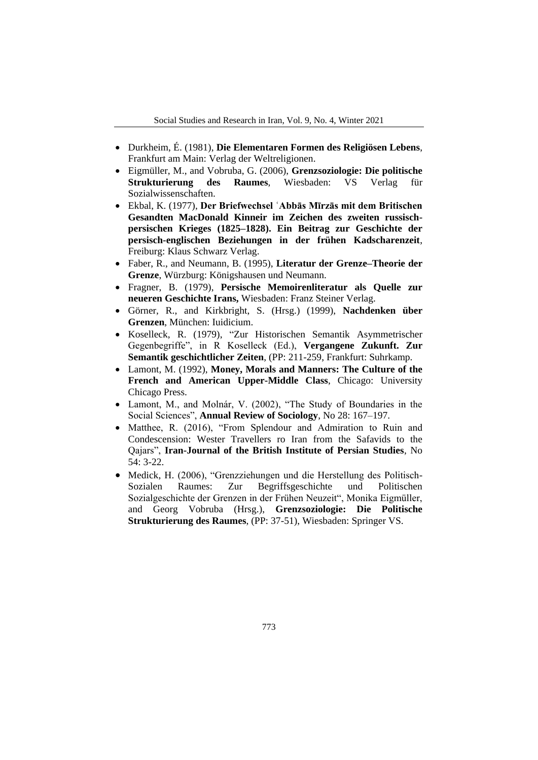- Durkheim, É. (1981), **Die Elementaren Formen des Religiösen Lebens**, Frankfurt am Main: Verlag der Weltreligionen.
- Eigmüller, M., and Vobruba, G. (2006), **Grenzsoziologie: Die politische Strukturierung des Raumes**, Wiesbaden: VS Verlag für Sozialwissenschaften.
- Ekbal, K. (1977), **Der Briefwechsel ʿAbbās Mīrzās mit dem Britischen Gesandten MacDonald Kinneir im Zeichen des zweiten russischpersischen Krieges (1825–1828). Ein Beitrag zur Geschichte der persisch-englischen Beziehungen in der frühen Kadscharenzeit**, Freiburg: Klaus Schwarz Verlag.
- Faber, R., and Neumann, B. (1995), **Literatur der Grenze–Theorie der Grenze**, Würzburg: Königshausen und Neumann.
- Fragner, B. (1979), **Persische Memoirenliteratur als Quelle zur neueren Geschichte Irans,** Wiesbaden: Franz Steiner Verlag.
- Görner, R., and Kirkbright, S. (Hrsg.) (1999), **Nachdenken über Grenzen**, München: Iuidicium.
- Koselleck, R. (1979), "Zur Historischen Semantik Asymmetrischer Gegenbegriffe", in R Koselleck (Ed.), **Vergangene Zukunft. Zur Semantik geschichtlicher Zeiten**, (PP: 211-259, Frankfurt: Suhrkamp.
- Lamont, M. (1992), **Money, Morals and Manners: The Culture of the French and American Upper-Middle Class**, Chicago: University Chicago Press.
- Lamont, M., and Molnár, V. (2002), "The Study of Boundaries in the Social Sciences", **Annual Review of Sociology**, No 28: 167–197.
- Matthee, R. (2016), "From Splendour and Admiration to Ruin and Condescension: Wester Travellers ro Iran from the Safavids to the Qajars", **Iran-Journal of the British Institute of Persian Studies**, No 54: 3-22.
- Medick, H. (2006), "Grenzziehungen und die Herstellung des Politisch-Sozialen Raumes: Zur Begriffsgeschichte und Politischen Sozialgeschichte der Grenzen in der Frühen Neuzeit", Monika Eigmüller, and Georg Vobruba (Hrsg.), **Grenzsoziologie: Die Politische Strukturierung des Raumes**, (PP: 37-51), Wiesbaden: Springer VS.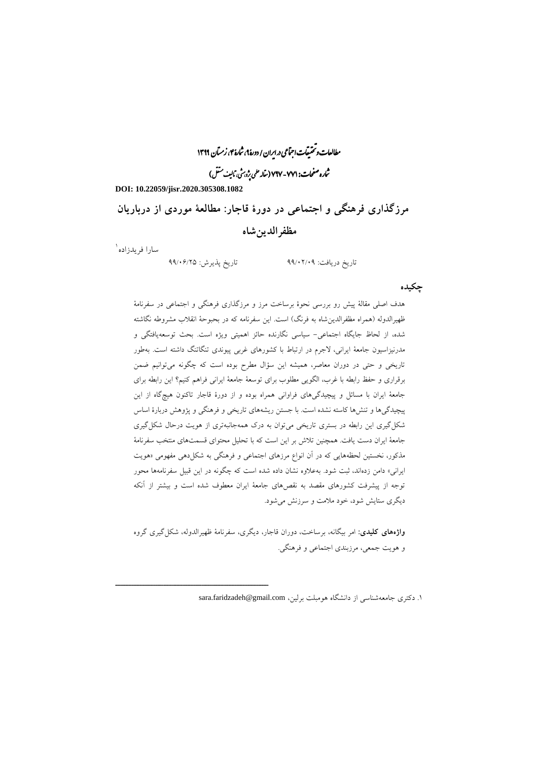مطالعات و تحقیقات اجتماعی در ایران / دورۀ ۹، ثمارۀ ۴، زمتان ۱۳۹۹ ثماره صفحات: ۷۷۱-۷۹۷ (مقا<sub>م</sub> علمی بِژوس<sup>ش</sup>، مَالی<sup>ف مس</sup>تش)

**DOI: 10.22059/jisr.2020.305308.1082**

**مرزگذاری فرهنگی و اجتماعی در دورة قاجار: مطالعة موردی از درباریان مظفرالدینشاه**

سارا فریدزاده<sup>۱</sup>

ــــــــــــــــــــــــــــــــــــــــــــــــــــــــــــــــــــــــــــــــــــــــــــــــــــــــــــــــــــــــــــــــــــــــــــــــ

تاریخ دریافت: 99/02/09 تاریخ پذیرش: 99/06/25

### **چکیده**

هدف اصلی مقالة پیش رو بررسی نحوة برساخت مرز و مرزگذاری فرهنگی و اجتماعی در سفرنامة ظهیرالدوله (همراه مظفرالدین شاه به فرنگ) است. این سفرنامه که در بحبوحهٔ انقلاب مشروطه نگاشته شده، از لحاظ جایگاه اجتماعی- سیاسی نگارنده حائز اهمیتی ویژه است. بحث توسعهیافتگی و مدرنیزاسیون جامعة ایرانی، الجرم در ارتباط با کشورهای غربی پیوندی تنگاتنگ داشته است. بهطور تاریخی و حتی در دوران معاصر، همیشه این سؤال مطرح بوده است که چگونه میتوانیم ضمن برقراری و حفظ رابطه با غرب، الگویی مطلوب برای توسعة جامعة ایرانی فراهم کنیم؟ این رابطه برای جامعة ایران با مسائل و پیچیدگیهای فراوانی همراه بوده و از دورة قاجار تاکنون هیچگاه از این پیچیدگیها و تنشها کاسته نشده است. با جستن ریشههای تاریخی و فرهنگی و پژوهش دربارة اساس شکلگیری این رابطه در بستری تاریخی میتوان به درک همهجانبهتری از هویت درحال شکلگیری جامعة ایران دست یافت. همچنین تالش بر این است که با تحلیل محتوای قسمتهای منتخب سفرنامة مذکور، نخستین لحظههایی که در آن انواع مرزهای اجتماعی و فرهنگی به شکلدهی مفهومی »هویت ایرانی» دامن زدهاند، ثبت شود. بهعلاوه نشان داده شده است که چگونه در این قبیل سفرنامهها محور توجه از پیشرفت کشورهای مقصد به نقصهای جامعة ایران معطوف شده است و بیشتر از آنکه دیگری ستایش شود، خود مالمت و سرزنش میشود.

**واژههای کلیدی:** امر بیگانه، برساخت، دوران قاجار، دیگری، سفرنامة ظهیرالدوله، شکلگیری گروه و هویت جمعی، مرزبندی اجتماعی و فرهنگی.

۱. دکتری جامعهشناسی از دانشگاه هومبلت برلین، sara.faridzadeh@gmail.com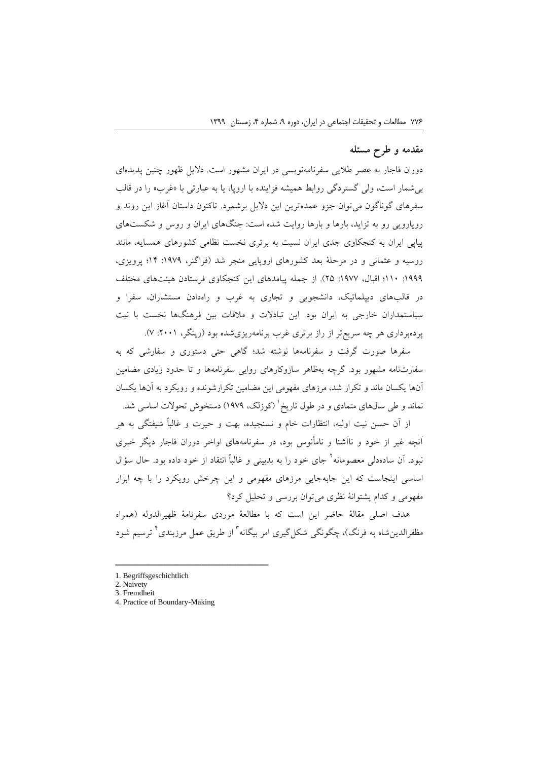## **مقدمه و طرح مسئله**

دوران قاجار به عصر طالیی سفرنامهنویسی در ایران مشهور است. دالیل ظهور چنین پدیدهای بی شمار است، ولی گستردگی روابط همیشه فزاینده با اروپا، یا به عبارتی با «غرب» را در قالب سفرهای گوناگون میتوان جزو عمدهترین این دالیل برشمرد. تاکنون داستان آغاز این روند و رویارویی رو به تزاید، بارها و بارها روایت شده است: جنگهای ایران و روس و شکستهای پیاپی ایران به کنجکاوی جدی ایران نسبت به برتری نخست نظامی کشورهای همسایه، مانند روسیه و عثمانی و در مرحلة بعد کشورهای اروپایی منجر شد )فراگنر، :1979 14؛ پرویزی، :1999 110؛ اقبال، :1977 25(. از جمله پیامدهای این کنجکاوی فرستادن هیئتهای مختلف در قالبهای دیپلماتیک، دانشجویی و تجاری به غرب و راهدادن مستشاران، سفرا و سیاستمداران خارجی به ایران بود. این تبادالت و مالقات بین فرهنگها نخست با نیت پردهبرداری هر چه سریعتر از راز برتری غرب برنامهریزیشده بود )رینگر، :2001 7(.

سفرها صورت گرفت و سفرنامهها نوشته شد؛ گاهی حتی دستوری و سفارشی که به سفارتنامه مشهور بود. گرچه بهظاهر سازوکارهای روایی سفرنامهها و تا حدود زیادی مضامین آنها یکسان ماند و تکرار شد، مرزهای مفهومی این مضامین تکرارشونده و رویکرد به آنها یکسان نماند و طی سال@ای متمادی و در طول تاریخ` (کوزلک، ۱۹۷۹) دستخوش تحولات اساسی شد.

از آن حسن نیت اولیه، انتظارات خام و نسنجیده، بهت و حیرت و غالباً شیفتگی به هر آنچه غیر از خود و ناآشنا و نامأنوس بود، در سفرنامههای اواخر دوران قاجار دیگر خبری نبود. اَن سادهدلی معصومانه<sup>۲</sup> جای خود را به بدبینی و غالباً انتقاد از خود داده بود. حال سؤال اساسی اینجاست که این جابهجایی مرزهای مفهومی و این چرخش رویکرد را با چه ابزار مفهومی و کدام پشتوانة نظری میتوان بررسی و تحلیل کرد؟

هدف اصلی مقالة حاضر این است که با مطالعة موردی سفرنامة ظهیرالدوله )همراه مظفرالدینِشاه به فرنگ)، چگونگی شکلگیری امر بیگانه<sup>۲</sup> از طریق عمل مرزبندی<sup>۲</sup> ترسیم شود

<sup>1.</sup> Begriffsgeschichtlich

<sup>2.</sup> Naivety

<sup>3.</sup> Fremdheit

<sup>4.</sup> Practice of Boundary-Making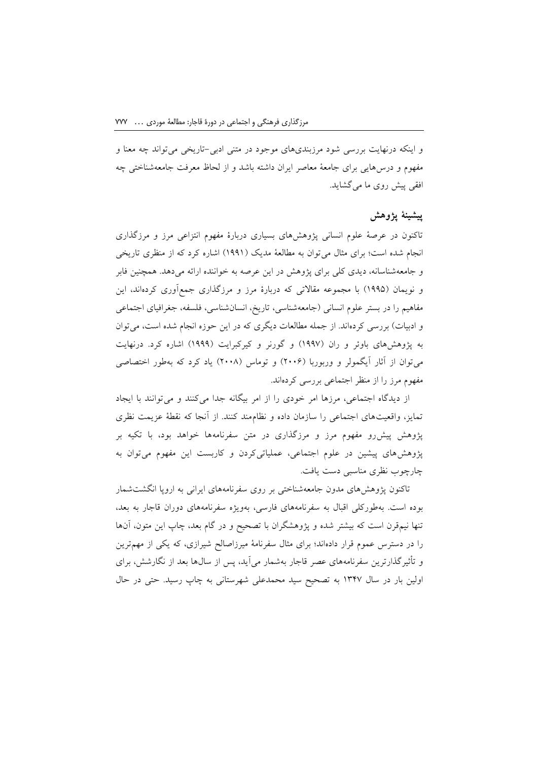و اینکه درنهایت بررسی شود مرزبندیهای موجود در متنی ادبی-تاریخی میتواند چه معنا و مفهوم و درسهایی برای جامعة معاصر ایران داشته باشد و از لحاظ معرفت جامعهشناختی چه افقی پیش روی ما میگشاید.

### **پیشینة پژوهش**

تاکنون در عرصة علوم انسانی پژوهشهای بسیاری دربارة مفهوم انتزاعی مرز و مرزگذاری انجام شده است؛ برای مثال می توان به مطالعهٔ مدیک (۱۹۹۱) اشاره کرد که از منظری تاریخی و جامعهشناسانه، دیدی کلی برای پژوهش در این عرصه به خواننده ارائه میدهد. همچنین فابر و نویمان )1995( با مجموعه مقاالتی که دربارة مرز و مرزگذاری جمعآوری کردهاند، این مفاهیم را در بستر علوم انسانی )جامعهشناسی، تاریخ، انسانشناسی، فلسفه، جغرافیای اجتماعی و ادبیات) بررسی کردهاند. از جمله مطالعات دیگری که در این حوزه انجام شده است، می توان به پژوهشهای باوئر و ران )1997( و گورنر و کیرکبرایت )1999( اشاره کرد. درنهایت میتوان از آثار آیگمولر و وربوربا )2006( و توماس )2008( یاد کرد که بهطور اختصاصی مفهوم مرز را از منظر اجتماعی بررسی کردهاند.

از دیدگاه اجتماعی، مرزها امر خودی را از امر بیگانه جدا میکنند و میتوانند با ایجاد تمایز، واقعیتهای اجتماعی را سازمان داده و نظاممند کنند. از آنجا که نقطة عزیمت نظری پژوهش پیشرو مفهوم مرز و مرزگذاری در متن سفرنامهها خواهد بود، با تکیه بر پژوهشهای پیشین در علوم اجتماعی، عملیاتیکردن و کاربست این مفهوم میتوان به چارچوب نظری مناسبی دست یافت.

تاکنون پژوهشهای مدون جامعهشناختی بر روی سفرنامههای ایرانی به اروپا انگشتشمار بوده است. بهطورکلی اقبال به سفرنامههای فارسی، بهویژه سفرنامههای دوران قاجار به بعد، تنها نیمقرن است که بیشتر شده و پژوهشگران با تصحیح و در گام بعد، چاپ این متون، آنها را در دسترس عموم قرار دادهاند؛ برای مثال سفرنامة میرزاصالح شیرازی، که یکی از مهمترین و تأثیرگذارترین سفرنامههای عصر قاجار بهشمار میآید، پس از سالها بعد از نگارشش، برای اولین بار در سال 1347 به تصحیح سید محمدعلی شهرستانی به چاپ رسید. حتی در حال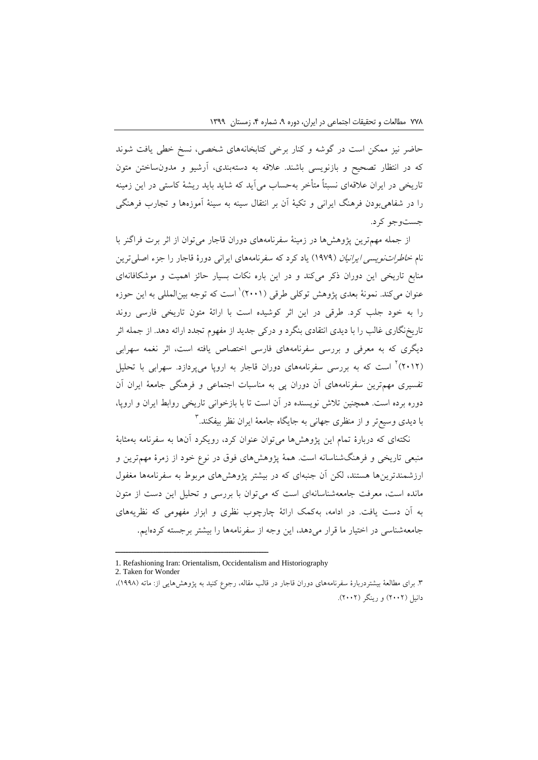حاضر نیز ممکن است در گوشه و کنار برخی کتابخانههای شخصی، نسخ خطی یافت شوند که در انتظار تصحیح و بازنویسی باشند. عالقه به دستهبندی، آرشیو و مدونساختن متون تاریخی در ایران عالقهای نسبتاً متأخر بهحساب میآید که شاید باید ریشة کاستی در این زمینه را در شفاهیبودن فرهنگ ایرانی و تکیة آن بر انتقال سینه به سینة آموزهها و تجارب فرهنگی جستوجو کرد.

از جمله مهمترین پژوهشها در زمینة سفرنامههای دوران قاجار میتوان از اثر برت فراگنر با نام *خاطراتنویسی ایرانیان* (۱۹۷۹) یاد کرد که سفرنامههای ایرانی دورهٔ قاجار را جزء اصلی ترین منابع تاریخی این دوران ذکر میکند و در این باره نکات بسیار حائز اهمیت و موشکافانهای عنوان میکند. نمونهٔ بعدی پژوهش توکلی طرقی (۲۰۰۱)<sup>۱</sup> است که توجه بینالمللی به این حوزه را به خود جلب کرد. طرقی در این اثر کوشیده است با ارائة متون تاریخی فارسی روند تاریخنگاری غالب را با دیدی انتقادی بنگرد و درکی جدید از مفهوم تجدد ارائه دهد. از جمله اثر دیگری که به معرفی و بررسی سفرنامههای فارسی اختصاص یافته است، اثر نغمه سهرابی (۲۰۱۲)<sup>۲</sup> است که به بررسی سفرنامههای دوران قاجار به اروپا میپردازد. سهرابی با تحلیل تفسیری مهمترین سفرنامههای آن دوران پی به مناسبات اجتماعی و فرهنگی جامعة ایران آن دوره برده است. همچنین تالش نویسنده در آن است تا با بازخوانی تاریخی روابط ایران و اروپا، با دیدی وسیع تر و از منظری جهانی به جایگاه جامعهٔ ایران نظر بیفکند.<sup>۳</sup>

نکتهای که دربارة تمام این پژوهشها میتوان عنوان کرد، رویکرد آنها به سفرنامه بهمثابة منبعی تاریخی و فرهنگشناسانه است. همة پژوهشهای فوق در نوع خود از زمرة مهمترین و ارزشمندترینها هستند، لکن آن جنبهای که در بیشتر پژوهشهای مربوط به سفرنامهها مغفول مانده است، معرفت جامعهشناسانهای است که میتوان با بررسی و تحلیل این دست از متون به آن دست یافت. در ادامه، بهکمک ارائة چارچوب نظری و ابزار مفهومی که نظریههای جامعهشناسی در اختیار ما قرار میدهد، این وجه از سفرنامهها را بیشتر برجسته کردهایم.

<sup>1.</sup> Refashioning Iran: Orientalism, Occidentalism and Historiography

<sup>2.</sup> Taken for Wonder

<sup>.3</sup> برای مطالعة بیشتردربارة سفرنامههای دوران قاجار در قالب مقاله، رجوع کنید به پژوهشهایی از: ماته )1998(، دانیل (۲۰۰۲) و رینگر (۲۰۰۲).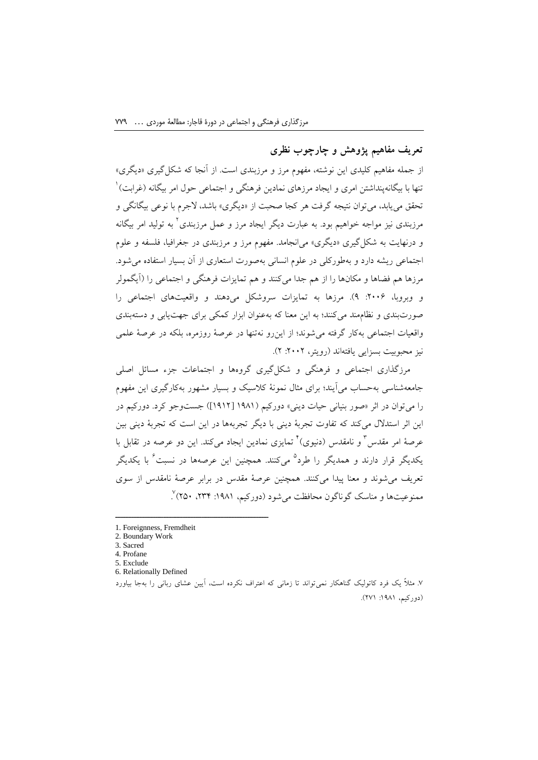# **تعریف مفاهیم پژوهش و چارچوب نظری**

از جمله مفاهیم کلیدی این نوشته، مفهوم مرز و مرزبندی است. از آنجا که شکلگیری »دیگری« ننها با بیگانهپنداشتن امری و ایجاد مرزهای نمادین فرهنگی و اجتماعی حول امر بیگانه (غرابت)<sup>\</sup> تحقق می یابد، می توان نتیجه گرفت هر کجا صحبت از «دیگری» باشد، لاجرم با نوعی بیگانگی و 2 مرزبندی نیز مواجه خواهیم بود. به عبارت دیگر ایجاد مرز و عمل مرزبندی به تولید امر بیگانه و درنهایت به شکلگیری »دیگری« میانجامد. مفهوم مرز و مرزبندی در جغرافیا، فلسفه و علوم اجتماعی ریشه دارد و بهطورکلی در علوم انسانی بهصورت استعاری از آن بسیار استفاده میشود. مرزها هم فضاها و مکانها را از هم جدا میکنند و هم تمایزات فرهنگی و اجتماعی را )آیگمولر و وبروبا، ٢٠٠۶: ٩). مرزها به تمایزات سروشکل میدهند و واقعیتهای اجتماعی را صورتبندی و نظاممند میکنند؛ به این معنا که بهعنوان ابزار کمکی برای جهتیابی و دستهبندی واقعیات اجتماعی بهکار گرفته میشوند؛ از اینرو نهتنها در عرصة روزمره، بلکه در عرصة علمی نیز محبوبیت بسزایی یافتهاند )رویتر، :2002 2(.

مرزگذاری اجتماعی و فرهنگی و شکلگیری گروهها و اجتماعات جزء مسائل اصلی جامعهشناسی بهحساب میآیند؛ برای مثال نمونة کالسیک و بسیار مشهور بهکارگیری این مفهوم را میتوان در اثر »صور بنیانی حیات دینی« دورکیم )1981 ]1912[( جستوجو کرد. دورکیم در این اثر استدالل میکند که تفاوت تجربة دینی با دیگر تجربهها در این است که تجربة دینی بین عرصهٔ امر مقدس ٔ و نامقدس (دنیوی) ٔ تمایزی نمادین ایجاد میکند. این دو عرصه در تقابل با بکدیگر قرار دارند و همدیگر را طرد<sup>۵</sup> میکنند. همچنین این عرصهها در نسبت<sup>۲</sup> با یکدیگر تعریف میشوند و معنا پیدا میکنند. همچنین عرصة مقدس در برابر عرصة نامقدس از سوی ممنوعیتها و مناسک گوناگون محافظت میشود (دورکیم، ۱۹۸۱: ۲۳۴، ۲۵۰)<sup>۷</sup> .

<sup>1.</sup> Foreignness, Fremdheit

<sup>2.</sup> Boundary Work

<sup>3.</sup> Sacred

<sup>4.</sup> Profane 5. Exclude

<sup>6.</sup> Relationally Defined

<sup>.7</sup> مثالً یک فرد کاتولیک گناهکار نمیتواند تا زمانی که اعتراف نکرده است، آیین عشای ربانی را بهجا بیاورد )دورکیم، :1981 271(.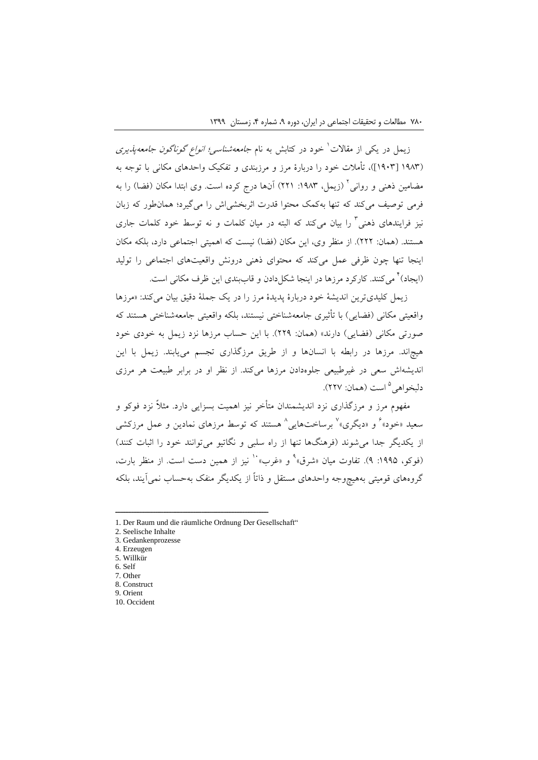زیمل در یکی از مقالات<sup>\</sup> خود در کتابش به نام *جامعهشناسی؛ انواع گوناگون جامعهپذیری* )1983 ]1903[(، تأمالت خود را دربارة مرز و مرزبندی و تفکیک واحدهای مکانی با توجه به مضامین ذهنی و روانی<sup>۲</sup> (زیمل، ۱۹۸۳: ۲۲۱) آنها درج کرده است. وی ابتدا مکان (فضا) را به فرمی توصیف میکند که تنها بهکمک محتوا قدرت اثربخشیاش را میگیرد؛ همانطور که زبان نیز فرایندهای ذهنی<sup>۲</sup> را بیان میکند که البته در میان کلمات و نه توسط خود کلمات جاری هستند. (همان: ٢٢٢). از منظر وی، این مکان (فضا) نیست که اهمیتی اجتماعی دارد، بلکه مکان اینجا تنها چون ظرفی عمل میکند که محتوای ذهنی درونش واقعیتهای اجتماعی را تولید (ایجاد)<sup>۲</sup> میکنند. کارکرد مرزها در اینجا شکلدادن و قاببندی این ظرف مکانی است.

زیمل کلیدیترین اندیشة خود دربارة پدیدة مرز را در یک جملة دقیق بیان میکند: »مرزها واقعیتی مکانی (فضایی) با تأثیری جامعهشناختی نیستند، بلکه واقعیتی جامعهشناختی هستند که صورتی مکانی (فضایی) دارند» (همان: ٢٢٩). با این حساب مرزها نزد زیمل به خودی خود هیچاند. مرزها در رابطه با انسانها و از طریق مرزگذاری تجسم مییابند. زیمل با این اندیشهاش سعی در غیرطبیعی جلوهدادن مرزها میکند. از نظر او در برابر طبیعت هر مرزی دلبخواهی<sup>۵</sup> است (همان: ۲۲۷).

مفهوم مرز و مرزگذاری نزد اندیشمندان متأخر نیز اهمیت بسزایی دارد. مثالً نزد فوکو و سعید «خود»<sup>۶</sup> و «دیگری»<sup>۷</sup> برساختهایی<sup>۸</sup> هستند که توسط مرزهای نمادین و عمل مرزکشی از یکدیگر جدا می شوند (فرهنگها تنها از راه سلبی و نگاتیو میتوانند خود را اثبات کنند) (فوکو، ۱۹۹۵: ۹). تفاوت میان «شرق»<sup>۹</sup> و «غرب»<sup>۱۰</sup> نیز از همین دست است. از منظر بارت، گروههای قومیتی بههیچوجه واحدهای مستقل و ذاتاً از یکدیگر منفک بهحساب نمیآیند، بلکه

<sup>1.</sup> Der Raum und die räumliche Ordnung Der Gesellschaft"

<sup>2.</sup> Seelische Inhalte

<sup>3.</sup> Gedankenprozesse

<sup>4.</sup> Erzeugen 5. Willkür

<sup>6.</sup> Self 7. Other

<sup>8.</sup> Construct

<sup>9.</sup> Orient

<sup>10.</sup> Occident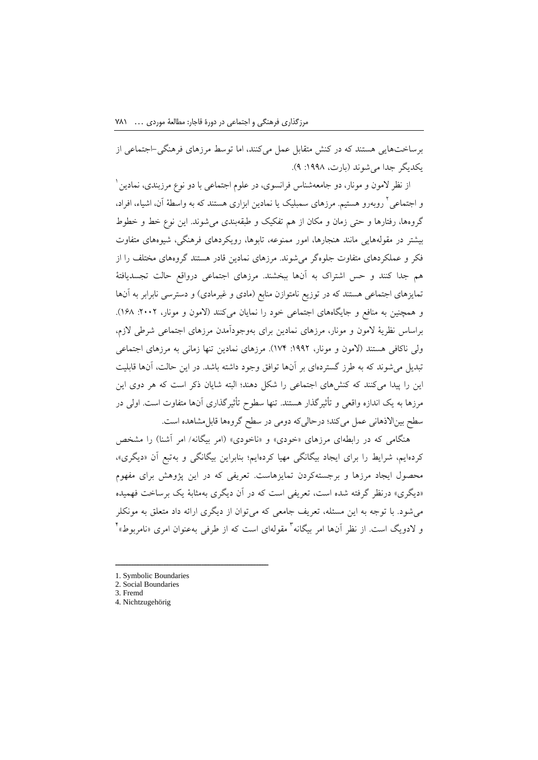برساختهایی هستند که در کنش متقابل عمل میکنند، اما توسط مرزهای فرهنگی-اجتماعی از یکدیگر جدا میشوند )بارت، :1998 9(.

از نظر لامون و مونار، دو جامعهشناس فرانسوی، در علوم اجتماعی با دو نوع مرزبندی، نمادین <sup>۱</sup> و اجتماعی<sup>۲</sup> روبهرو هستیم. مرزهای سمبلیک یا نمادین ابزاری هستند که به واسطهٔ آن، اشیاء، افراد، گروهها، رفتارها و حتی زمان و مکان از هم تفکیک و طبقهبندی میشوند. این نوع خط و خطوط بیشتر در مقولههایی مانند هنجارها، امور ممنوعه، تابوها، رویکردهای فرهنگی، شیوههای متفاوت فکر و عملکردهای متفاوت جلوهگر میشوند. مرزهای نمادین قادر هستند گروههای مختلف را از هم جدا کنند و حس اشتراک به آنها ببخشند. مرزهای اجتماعی درواقع حالت تجسدیافتة تمایزهای اجتماعی هستند که در توزیع نامتوازن منابع (مادی و غیرمادی) و دسترسی نابرابر به آنها و همچنین به منافع و جایگاههای اجتماعی خود را نمایان میکنند (لامون و مونار، ۲۰۰۲. ۱۶۸). براساس نظریة المون و مونار، مرزهای نمادین برای بهوجودآمدن مرزهای اجتماعی شرطی الزم، ولی ناکافی هستند )المون و مونار، :1992 174(. مرزهای نمادین تنها زمانی به مرزهای اجتماعی تبدیل میشوند که به طرز گستردهای بر آنها توافق وجود داشته باشد. در این حالت، آنها قابلیت این را پیدا میکنند که کنشهای اجتماعی را شکل دهند؛ البته شایان ذکر است که هر دوی این مرزها به یک اندازه واقعی و تأثیرگذار هستند. تنها سطوح تأثیرگذاری آنها متفاوت است. اولی در سطح بیناالذهانی عمل میکند؛ درحالیکه دومی در سطح گروهها قابلمشاهده است.

هنگامی که در رابطهای مرزهای «خودی» و «ناخودی» (امر بیگانه/ امر آشنا) را مشخص کردهایم، شرایط را برای ایجاد بیگانگی مهیا کردهایم؛ بنابراین بیگانگی و بهتبع آن »دیگری«، محصول ایجاد مرزها و برجستهکردن تمایزهاست. تعریفی که در این پژوهش برای مفهوم »دیگری« درنظر گرفته شده است، تعریفی است که در آن دیگری بهمثابة یک برساخت فهمیده میشود. با توجه به این مسئله، تعریف جامعی که میتوان از دیگری ارائه داد متعلق به مونکلر و لادویگ است. از نظر آنها امر بیگانه<sup>۳</sup> مقولهای است که از طرفی بهعنوان امری «نامربوط»<sup>۴</sup>

<sup>1.</sup> Symbolic Boundaries

<sup>2.</sup> Social Boundaries

<sup>3.</sup> Fremd

<sup>4.</sup> Nichtzugehörig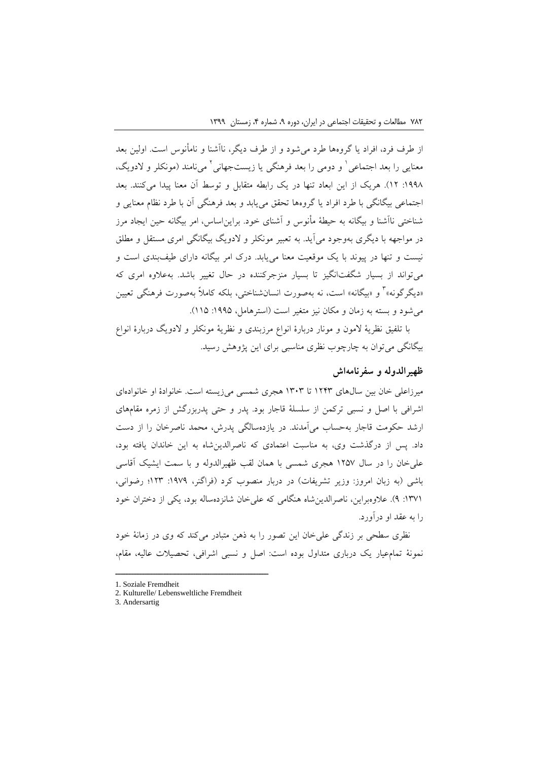از طرف فرد، افراد یا گروهها طرد میشود و از طرف دیگر، ناآشنا و نامأنوس است. اولین بعد معنایی را بعد اجتماعی ٰ و دومی را بعد فرهنگی یا زیستجهانی ٔ میiامند (مونکلر و لادویگ، :1998 12(. هریک از این ابعاد تنها در یک رابطه متقابل و توسط آن معنا پیدا میکنند. بعد اجتماعی بیگانگی با طرد افراد یا گروهها تحقق مییابد و بعد فرهنگی آن با طرد نظام معنایی و شناختی ناآشنا و بیگانه به حیطة مأنوس و آشنای خود. برایناساس، امر بیگانه حین ایجاد مرز در مواجهه با دیگری بهوجود میآید. به تعبیر مونکلر و الدویگ بیگانگی امری مستقل و مطلق نیست و تنها در پیوند با یک موقعیت معنا مییابد. درک امر بیگانه دارای طیفبندی است و میتواند از بسیار شگفتانگیز تا بسیار منزجرکننده در حال تغییر باشد. بهعالوه امری که «دیگرگونه»<sup>۲</sup> و «بیگانه» است، نه بهصورت انسانشناختی، بلکه کاملاً بهصورت فرهنگی تعیین می شود و بسته به زمان و مکان نیز متغیر است (استرهامل، ۱۹۹۵: ۱۱۵).

با تلفیق نظریة المون و مونار دربارة انواع مرزبندی و نظریة مونکلر و الدویگ دربارة انواع بیگانگی میتوان به چارچوب نظری مناسبی برای این پژوهش رسید.

## **ظهیرالدوله و سفرنامهاش**

میرزاعلی خان بین سالهای 1243 تا 1303 هجری شمسی میزیسته است. خانوادة او خانوادهای اشرافی با اصل و نسبی ترکمن از سلسلة قاجار بود. پدر و حتی پدربزرگش از زمره مقامهای ارشد حکومت قاجار بهحساب میآمدند. در یازدهسالگی پدرش، محمد ناصرخان را از دست داد. پس از درگذشت وی، به مناسبت اعتمادی که ناصرالدینشاه به این خاندان یافته بود، علیخان را در سال 1257 هجری شمسی با همان لقب ظهیرالدوله و با سمت ایشیک آقاسی باشی (به زبان امروز: وزیر تشریفات) در دربار منصوب کرد (فراگنر، ۱۹۷۹: ۱۲۳؛ رضوانی، :1371 9(. عالوهبراین، ناصرالدینشاه هنگامی که علیخان شانزدهساله بود، یکی از دختران خود را به عقد او درآورد.

نظری سطحی بر زندگی علیخان این تصور را به ذهن متبادر میکند که وی در زمانة خود نمونة تمامعیار یک درباری متداول بوده است: اصل و نسبی اشرافی، تحصیالت عالیه، مقام،

<sup>1.</sup> Soziale Fremdheit

<sup>2.</sup> Kulturelle/ Lebensweltliche Fremdheit

<sup>3.</sup> Andersartig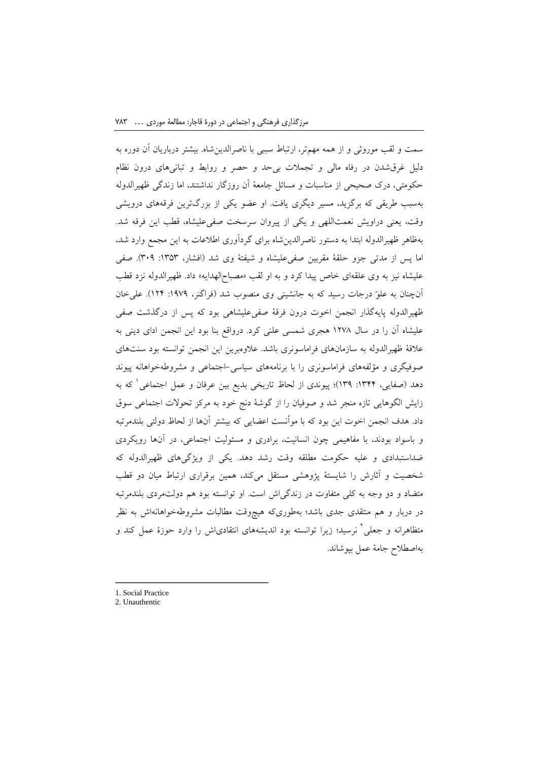سمت و لقب موروثی و از همه مهمتر، ارتباط سببی با ناصرالدینشاه. بیشتر درباریان آن دوره به دلیل غرقشدن در رفاه مالی و تجمالت بیحد و حصر و روابط و تبانیهای درون نظام حکومتی، درک صحیحی از مناسبات و مسائل جامعة آن روزگار نداشتند، اما زندگی ظهیرالدوله بهسبب طریقی که برگزید، مسیر دیگری یافت. او عضو یکی از بزرگترین فرقههای درویشی وقت، یعنی دراویش نعمتاللهی و یکی از پیروان سرسخت صفیعلیشاه، قطب این فرقه شد. بهظاهر ظهیرالدوله ابتدا به دستور ناصرالدینشاه برای گردآوری اطالعات به این مجمع وارد شد، اما پس از مدتی جزو حلقة مقربین صفیعلیشاه و شیفتة وی شد )افشار، :1353 309(. صفی علیشاه نیز به وی علقهای خاص پیدا کرد و به او لقب «مصباح|لهدایه» داد. ظهیرالدوله نزد قطب آنچنان به علوّ درجات رسید که به جانشینی وی منصوب شد )فراگنر، :1979 124(. علیخان ظهیرالدوله پایهگذار انجمن اخوت درون فرقة صفیعلیشاهی بود که پس از درگذشت صفی علیشاه آن را در سال 1278 هجری شمسی علنی کرد. درواقع بنا بود این انجمن ادای دینی به عالقة ظهیرالدوله به سازمانهای فراماسونری باشد. عالوهبرین این انجمن توانسته بود سنتهای صوفیگری و مؤلفههای فراماسونری را با برنامههای سیاسی-اجتماعی و مشروطهخواهانه پیوند دهد (صفایی، ۱۳۴۴: ۱۳۹)؛ پیوندی از لحاظ تاریخی بدیع بین عرفان و عمل اجتماعی<sup>\</sup> که به زایش الگوهایی تازه منجر شد و صوفیان را از گوشة دنج خود به مرکز تحوالت اجتماعی سوق داد. هدف انجمن اخوت این بود که با موأنست اعضایی که بیشتر آنها از لحاظ دولتی بلندمرتبه و باسواد بودند، با مفاهیمی چون انسانیت، برادری و مسئولیت اجتماعی، در آنها رویکردی ضداستبدادی و علیه حکومت مطلقه وقت رشد دهد. یکی از ویژگیهای ظهیرالدوله که شخصیت و آثارش را شایستة پژوهشی مستقل میکند، همین برقراری ارتباط میان دو قطب متضاد و دو وجه به کلی متفاوت در زندگیاش است. او توانسته بود هم دولتمردی بلندمرتبه در دربار و هم منتقدی جدی باشد؛ بهطوریکه هیچوقت مطالبات مشروطهخواهانهاش به نظر متظاهرانه و جعلی<sup>۲</sup> نرسید؛ زیرا توانسته بود اندیشههای انتقادیاش را وارد حوزهٔ عمل کند و بهاصطالح جامة عمل بپوشاند.

<sup>1.</sup> Social Practice

<sup>2.</sup> Unauthentic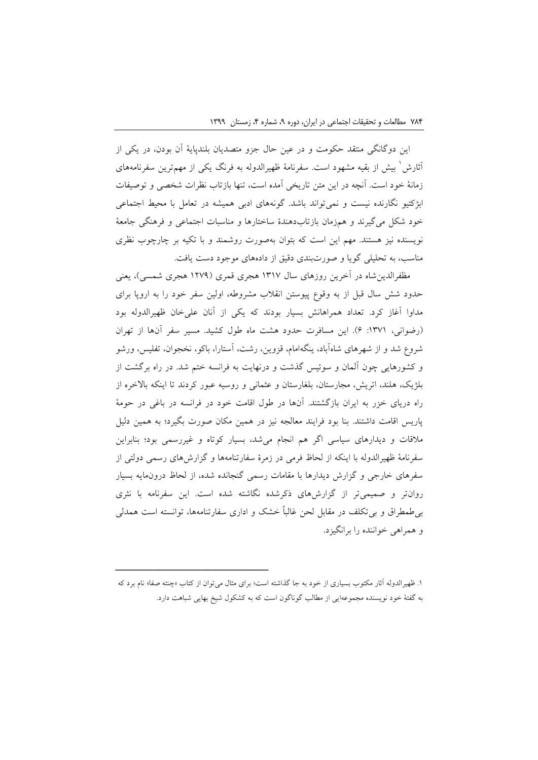این دوگانگی منتقد حکومت و در عین حال جزو متصدیان بلندپایة آن بودن، در یکی از 1 آثارش بیش از بقیه مشهود است. سفرنامة ظهیرالدوله به فرنگ یکی از مهمترین سفرنامههای زمانة خود است. آنچه در این متن تاریخی آمده است، تنها بازتاب نظرات شخصی و توصیفات ابژکتیو نگارنده نیست و نمیتواند باشد. گونههای ادبی همیشه در تعامل با محیط اجتماعی خود شکل میگیرند و همزمان بازتابدهندة ساختارها و مناسبات اجتماعی و فرهنگی جامعة نویسنده نیز هستند. مهم این است که بتوان بهصورت روشمند و با تکیه بر چارچوب نظری مناسب، به تحلیلی گویا و صورتبندی دقیق از دادههای موجود دست یافت.

مظفرالدینشاه در آخرین روزهای سال 1317 هجری قمری )1279 هجری شمسی(، یعنی حدود شش سال قبل از به وقوع پیوستن انقالب مشروطه، اولین سفر خود را به اروپا برای مداوا آغاز کرد. تعداد همراهانش بسیار بودند که یکی از آنان علیخان ظهیرالدوله بود )رضوانی، :1371 6(. این مسافرت حدود هشت ماه طول کشید. مسیر سفر آنها از تهران شروع شد و از شهرهای شاهآباد، ینگهامام، قزوین، رشت، آستارا، باکو، نخجوان، تفلیس، ورشو و کشورهایی چون آلمان و سوئیس گذشت و درنهایت به فرانسه ختم شد. در راه برگشت از بلژیک، هلند، اتریش، مجارستان، بلغارستان و عثمانی و روسیه عبور کردند تا اینکه باالخره از راه دریای خزر به ایران بازگشتند. آنها در طول اقامت خود در فرانسه در باغی در حومة پاریس اقامت داشتند. بنا بود فرایند معالجه نیز در همین مکان صورت بگیرد؛ به همین دلیل مالقات و دیدارهای سیاسی اگر هم انجام میشد، بسیار کوتاه و غیررسمی بود؛ بنابراین سفرنامة ظهیرالدوله با اینکه از لحاظ فرمی در زمرة سفارتنامهها و گزارشهای رسمی دولتی از سفرهای خارجی و گزارش دیدارها با مقامات رسمی گنجانده شده، از لحاظ درونمایه بسیار روانتر و صمیمیتر از گزارشهای ذکرشده نگاشته شده است. این سفرنامه با نثری بیطمطراق و بیتکلف در مقابل لحن غالباً خشک و اداری سفارتنامهها، توانسته است همدلی و همراهی خواننده را برانگیزد.

<sup>.1</sup> ظهیرالدوله آثار مکتوب بسیاری از خود به جا گذاشته است؛ برای مثال میتوان از کتاب »چنته صفا« نام برد که به گفتة خود نویسنده مجموعهایی از مطالب گوناگون است که به کشکول شیخ بهایی شباهت دارد.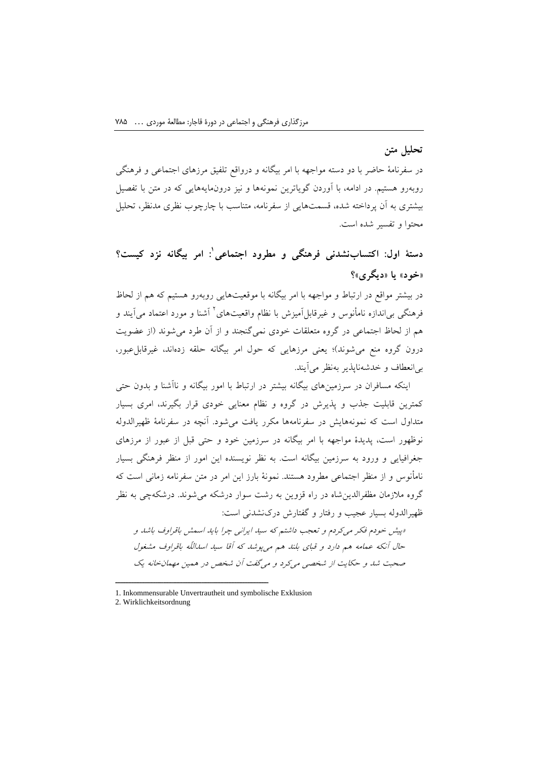# **تحلیل متن**

در سفرنامة حاضر با دو دسته مواجهه با امر بیگانه و درواقع تلفیق مرزهای اجتماعی و فرهنگی روبهرو هستیم. در ادامه، با آوردن گویاترین نمونهها و نیز درونمایههایی که در متن با تفصیل بیشتری به آن پرداخته شده، قسمتهایی از سفرنامه، متناسب با چارچوب نظری مدنظر، تحلیل محتوا و تفسیر شده است.

**1 دستة اول: اکتسابنشدنی فرهنگی و مطرود اجتماعی : امر بیگانه نزد کیست؟ »خود« یا »دیگری«؟**

در بیشتر مواقع در ارتباط و مواجهه با امر بیگانه با موقعیتهایی روبهرو هستیم که هم از لحاظ فرهنگی بی|ندازه نامأنوس و غیرقابل|َمیزش با نظام واقعیتهای<sup>۲</sup> آشنا و مورد اعتماد می]یند و هم از لحاظ اجتماعی در گروه متعلقات خودی نمیگنجند و از آن طرد میشوند )از عضویت درون گروه منع میشوند)؛ یعنی مرزهایی که حول امر بیگانه حلقه زدهاند، غیرقابل عبور، بیانعطاف و خدشهناپذیر بهنظر میآیند.

اینکه مسافران در سرزمینهای بیگانه بیشتر در ارتباط با امور بیگانه و ناآشنا و بدون حتی کمترین قابلیت جذب و پذیرش در گروه و نظام معنایی خودی قرار بگیرند، امری بسیار متداول است که نمونههایش در سفرنامهها مکرر یافت میشود. آنچه در سفرنامة ظهیرالدوله نوظهور است، پدیدة مواجهه با امر بیگانه در سرزمین خود و حتی قبل از عبور از مرزهای جغرافیایی و ورود به سرزمین بیگانه است. به نظر نویسنده این امور از منظر فرهنگی بسیار نامأنوس و از منظر اجتماعی مطرود هستند. نمونة بارز این امر در متن سفرنامه زمانی است که گروه مالزمان مظفرالدینشاه در راه قزوین به رشت سوار درشکه میشوند. درشکهچی به نظر ظهیرالدوله بسیار عجیب و رفتار و گفتارش درکنشدنی است:

»پیش خودم فکر میکردم و تعجب داشتم که سید ایرانی چرا باید اسمش باقراوف باشد و حال آنکه عمامه هم دارد و قبای بلند هم میپوشد که آقا سید اسداللّه باقراوف مشغول صحبت شد و حکایت از شخصی میکرد و میگفت آن شخص در همین مهمانخانه یک

<sup>1.</sup> Inkommensurable Unvertrautheit und symbolische Exklusion

<sup>2.</sup> Wirklichkeitsordnung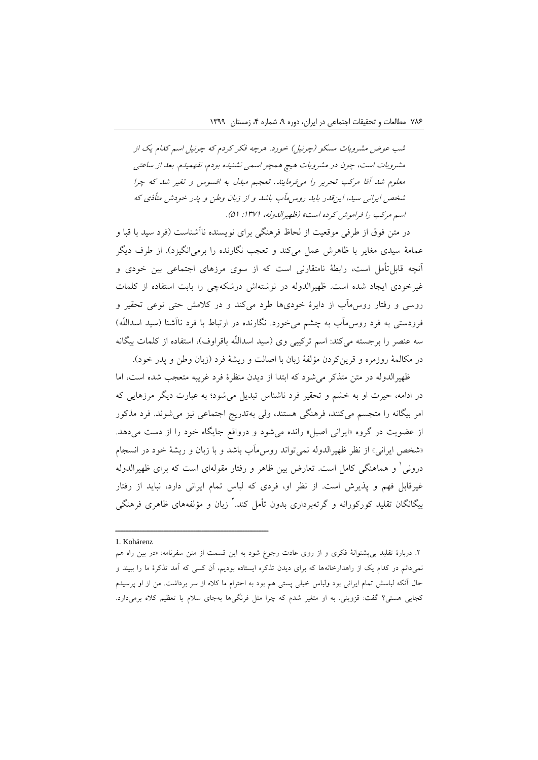شب عوض مشروبات مسکو )چرنیل( خورد. هرچه فکر کردم که چرنیل اسم کدام یک از مشروبات است، چون در مشروبات هیچ همچو اسمی نشنیده بودم، نفهمیدم. بعد از ساعتی معلوم شد آقا مرکب تحریر را میفرمایند*.* تعجبم مبدل به افسوس و تغیر شد که چرا شخص ایرانی سید، اینقدر باید روسمآب باشد و از زبان وطن و پدر خودش متأذی که اسيد مرکب را فراموش کرده است» (ظهیرالدوله، ۱۳۷۱: ۵۱).

در متن فوق از طرفی موقعیت از لحاظ فرهنگی برای نویسنده ناآشناست )فرد سید با قبا و عمامة سیدی مغایر با ظاهرش عمل میکند و تعجب نگارنده را برمیانگیزد(. از طرف دیگر آنچه قابلتأمل است، رابطة نامتقارنی است که از سوی مرزهای اجتماعی بین خودی و غیرخودی ایجاد شده است. ظهیرالدوله در نوشتهاش درشکهچی را بابت استفاده از کلمات روسی و رفتار روسمآب از دایرة خودیها طرد میکند و در کالمش حتی نوعی تحقیر و فرودستی به فرد روس۵آب به چشم میخورد. نگارنده در ارتباط با فرد ناآشنا (سید اسداللّه) سه عنصر را برجسته میکند: اسم ترکیبی وی (سید اسداللّه باقراوف)، استفاده از کلمات بیگانه در مکالمهٔ روزمره و قرینکردن مؤلفهٔ زبان با اصالت و ریشهٔ فرد (زبان وطن و پدر خود).

ظهیرالدوله در متن متذکر میشود که ابتدا از دیدن منظرة فرد غریبه متعجب شده است، اما در ادامه، حیرت او به خشم و تحقیر فرد ناشناس تبدیل میشود؛ به عبارت دیگر مرزهایی که امر بیگانه را متجسم میکنند، فرهنگی هستند، ولی بهتدریج اجتماعی نیز میشوند. فرد مذکور از عضویت در گروه «ایرانی اصیل» رانده می شود و درواقع جایگاه خود را از دست می دهد. »شخص ایرانی« از نظر ظهیرالدوله نمیتواند روسمآب باشد و با زبان و ریشة خود در انسجام درونی<sup>٬</sup> و هماهنگی کامل است. تعارض بین ظاهر و رفتار مقولهای است که برای ظهیرالدوله غیرقابل فهم و پذیرش است. از نظر او، فردی که لباس تمام ایرانی دارد، نباید از رفتار بیگانگان تقلید کورکورانه و گرتهبرداری بدون تأمل کند.<sup>۲</sup> زبان و مؤلفههای ظاهری فرهنگی

<sup>1.</sup> Kohärenz

<sup>.2</sup> دربارة تقلید بیپشتوانة فکری و از روی عادت رجوع شود به این قسمت از متن سفرنامه: »در بین راه هم نمیدانم در کدام یک از راهدارخانهها که برای دیدن تذکره ایستاده بودیم، آن کسی که آمد تذکرة ما را ببیند و حال آنکه لباسش تمام ایرانی بود ولباس خیلی پستی هم بود به احترام ما کاله از سر برداشت. من از او پرسیدم کجایی هستی؟ گفت: قزوینی. به او متغیر شدم که چرا مثل فرنگیها بهجای سالم یا تعظیم کاله برمیدارد.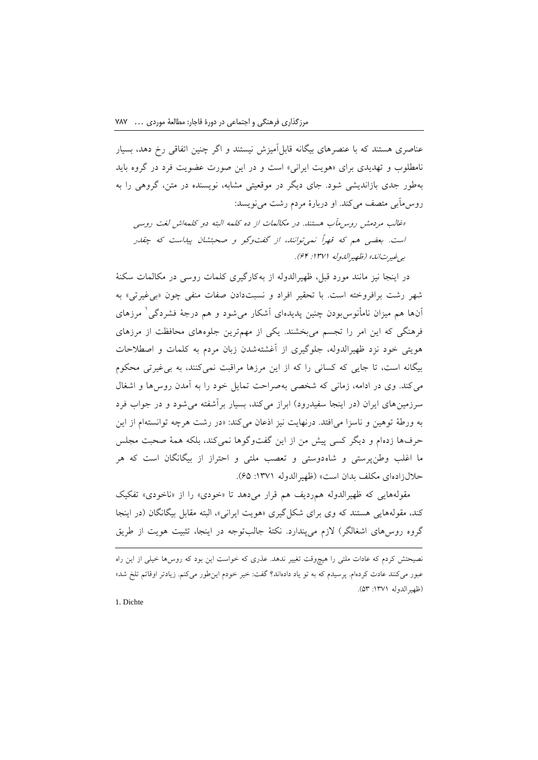عناصری هستند که با عنصرهای بیگانه قابلآمیزش نیستند و اگر چنین اتفاقی رخ دهد، بسیار نامطلوب و تهدیدی برای »هویت ایرانی« است و در این صورت عضویت فرد در گروه باید بهطور جدی بازاندیشی شود. جای دیگر در موقعیتی مشابه، نویسنده در متن، گروهی را به روسمآبی متصف میکند. او دربارة مردم رشت مینویسد:

»غالب مردمش روسمآب هستند. در مکالمات از ده کلمه البته دو کلمهاش لغت روسی است. بعضی هم که قهراً نمیتوانند، از گفتوگو و صحبتشان پیداست که چقدر بیغیرتاند« )ظهیرالدوله :1371 64(.

در اینجا نیز مانند مورد قبل، ظهیرالدوله از بهکارگیری کلمات روسی در مکالمات سکنة شهر رشت برافروخته است. با تحقیر افراد و نسبتدادن صفات منفی چون »بیغیرتی« به 1 آنها هم میزان نامأنوسبودن چنین پدیدهای آشکار میشود و هم درجة فشردگی مرزهای فرهنگی که این امر را تجسم میبخشند. یکی از مهمترین جلوههای محافظت از مرزهای هویتی خود نزد ظهیرالدوله، جلوگیری از آغشتهشدن زبان مردم به کلمات و اصطالحات بیگانه است، تا جایی که کسانی را که از این مرزها مراقبت نمیکنند، به بیغیرتی محکوم میکند. وی در ادامه، زمانی که شخصی بهصراحت تمایل خود را به آمدن روسها و اشغال سرزمین های ایران (در اینجا سفیدرود) ابراز میکند، بسیار برآشفته می شود و در جواب فرد به ورطة توهین و ناسزا میافتد. درنهایت نیز اذعان میکند: »در رشت هرچه توانستهام از این حرفها زدهام و دیگر کسی پیش من از این گفتوگوها نمیکند، بلکه همة صحبت مجلس ما اغلب وطنپرستی و شاهدوستی و تعصب ملتی و احتراز از بیگانگان است که هر حاللزادهای مکلف بدان است« )ظهیرالدوله :1371 65(.

مقولههایی که ظهیرالدوله هم ردیف هم قرار می دهد تا «خودی» را از «ناخودی» تفکیک کند، مقولههایی هستند که وی برای شکل گیری «هویت ایرانی»، البته مقابل بیگانگان (در اینجا گروه روس های اشغالگر) لازم می پندارد. نکتهٔ جالب توجه در اینجا، تثبیت هویت از طریق

نصیحتش کردم که عادات ملتی را هیچوقت تغییر ندهد. عذری که خواست این بود که روسها خیلی از این راه عبور میکنند عادت کردهام. پرسیدم که به تو یاد دادهاند؟ گفت: خیر خودم اینطور میکنم. زیادتر اوقاتم تلخ شد« )ظهیرالدوله :1371 53(.

1. Dichte

l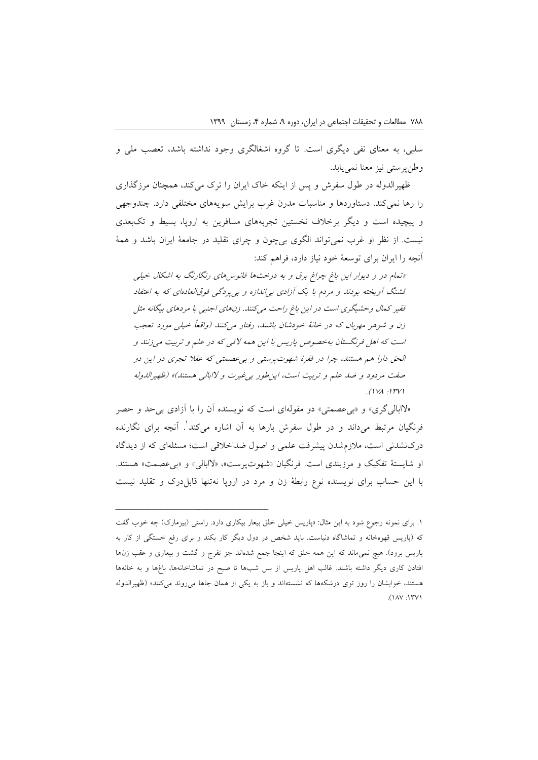سلبی، به معنای نفی دیگری است. تا گروه اشغالگری وجود نداشته باشد، تعصب ملی و وطنپرستی نیز معنا نمییابد.

ظهیرالدوله در طول سفرش و پس از اینکه خاک ایران را ترک میکند، همچنان مرزگذاری را رها نمیکند. دستاوردها و مناسبات مدرن غرب برایش سویههای مختلفی دارد. چندوجهی و پیچیده است و دیگر برخالف نخستین تجربههای مسافرین به اروپا، بسیط و تکبعدی نیست. از نظر او غرب نمیتواند الگوی بیچون و چرای تقلید در جامعة ایران باشد و همة آنچه را ایران برای توسعة خود نیاز دارد، فراهم کند:

»تمام در و دیوار این باغ چراغ برق و به درختها فانوسهای رنگارنگ به اشکال خیلی قشنگ آویخته بودند و مردم با یک آزادی بیاندازه و بیپردگی فوقالعادهای که به اعتقاد فقیر کمال وحشیگری است در این باغ راحت میکنند. زنهای اجنبی با مردهای بیگانه مثل زن و شوهر مهربان که در خانهٔ خودشان باشند، رفتار میکنند (واقعاً خیلی مورد تعجب است که اهل فرنگستان بهخصوص پاریس با این همه الفی که در علم و تربیت میزنند و الحق دارا هم هستند، چرا در فقرة شهوتپرستی و بیعصمتی که عقال تجری در این دو صفت مردود و ضد علم و تربیت است، این طور بی غیرت و لاابالی هستند)» (ظهیرالدوله  $(1)$  $(1)$ 

»الابالیگری« و »بیعصمتی« دو مقولهای است که نویسنده آن را با آزادی بیحد و حصر 1 فرنگیان مرتبط میداند و در طول سفرش بارها به آن اشاره میکند . آنچه برای نگارنده درکنشدنی است، مالزمشدن پیشرفت علمی و اصول ضداخالقی است؛ مسئلهای که از دیدگاه او شایستة تفکیک و مرزبندی است. فرنگیان »شهوتپرست«، »الابالی« و »بیعصمت« هستند. با این حساب برای نویسنده نوع رابطة زن و مرد در اروپا نهتنها قابلدرک و تقلید نیست

۱. برای نمونه رجوع شود به این مثال: «پاریس خیلی خلق بیعار بیکاری دارد. راستی (بیزمارک) چه خوب گفت که )پاریس قهوهخانه و تماشاگاه دنیاست. باید شخص در دول دیگر کار بکند و برای رفع خستگی از کار به پاریس برود). هیچ نمیماند که این همه خلق که اینجا جمع شدهاند جز تفرج و گشت و بیعاری و عقب زنها افتادن کاری دیگر داشته باشند. غالب اهل پاریس از بس شبها تا صبح در تماشاخانهها، باغها و به خانهها هستند، خوابشان را روز توی درشکهها که نشستهاند و باز به یکی از همان جاها می روند میکنند» (ظهیرالدوله ١٣٧١: ١٨٧).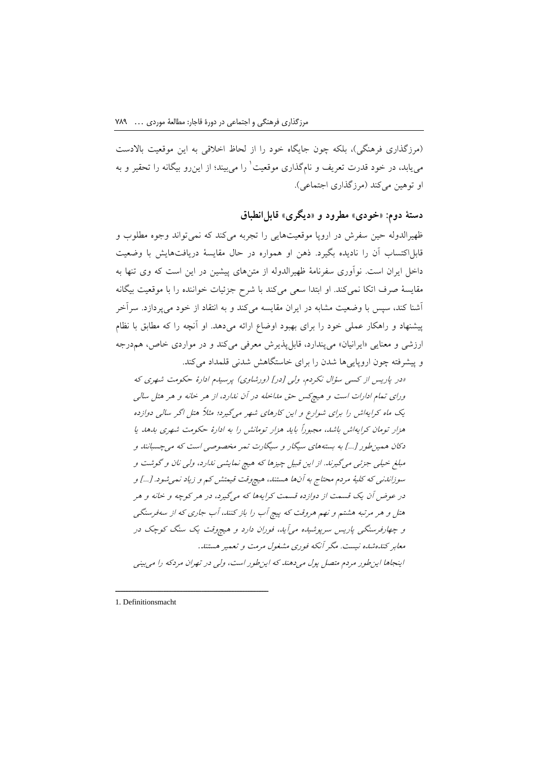)مرزگذاری فرهنگی(، بلکه چون جایگاه خود را از لحاظ اخالقی به این موقعیت باالدست مییابد، در خود قدرت تعریف و نامگذاری موقعیت` را میبیند؛ از اینرو بیگانه را تحقیر و به او توهین میکند (مرزگذاری اجتماعی).

**دستة دوم: »خودی« مطرود و »دیگری« قابلانطباق**

ظهیرالدوله حین سفرش در اروپا موقعیتهایی را تجربه میکند که نمیتواند وجوه مطلوب و قابلاکتساب آن را نادیده بگیرد. ذهن او همواره در حال مقایسة دریافتهایش با وضعیت داخل ایران است. نوآوری سفرنامة ظهیرالدوله از متنهای پیشین در این است که وی تنها به مقایسة صرف اتکا نمیکند. او ابتدا سعی میکند با شرح جزئیات خواننده را با موقعیت بیگانه آشنا کند، سپس با وضعیت مشابه در ایران مقایسه میکند و به انتقاد از خود میپردازد. سرآخر پیشنهاد و راهکار عملی خود را برای بهبود اوضاع ارائه میدهد. او آنچه را که مطابق با نظام ارزشی و معنایی «ایرانیان» میپندارد، قابل پذیرش معرفی میکند و در مواردی خاص، همدرجه و پیشرفته چون اروپایی ها شدن را برای خاستگاهش شدنی قلمداد می کند.

»در پاریس از کسی سؤال نکردم، ولی ]در[ )ورشاوی( پرسیدم ادارة حکومت شهری که ورای تمام ادارات است و هیچکس حق مداخله در آن ندارد، از هر خانه و هر هتل سالی یک ماه کرایهاش را برای شوارع و این کارهای شهر میگیرد؛ مثالً هتل اگر سالی دوازده هزار تومان کرایهاش باشد، مجبوراً باید هزار تومانش را به ادارة حکومت شهری بدهد یا دکان همینطور ]...[ به بستههای سیگار و سیگارت تمر مخصوصی است که میچسبانند و مبلغ خیلی جزئی میگیرند. از این قبیل چیزها که هیچ نمایشی ندارد، ولی نان و گوشت و سوزاندنی که کلیة مردم محتاج به آنها هستند، هیچوقت قیمتش کم و زیاد نمیشود. ]...[ و در عوض آن یک قسمت از دوازده قسمت کرایهها که میگیرد، در هر کوچه و خانه و هر هتل و هر مرتبه هشتم و نهم هروقت که پیچ آب را باز کنند، آب جاری که از سهفرسنگی و چهارفرسنگی پاریس سرپوشیده میآید، فوران دارد و هیچوقت یک سنگ کوچک در معابر کندهشده نیست. مگر آنکه فوری مشغول مرمت و تعمیر هستند*.* اینجاها اینطور مردم متصل پول میدهند که اینطور است، ولی در تهران مردکه را میبینی

1. Definitionsmacht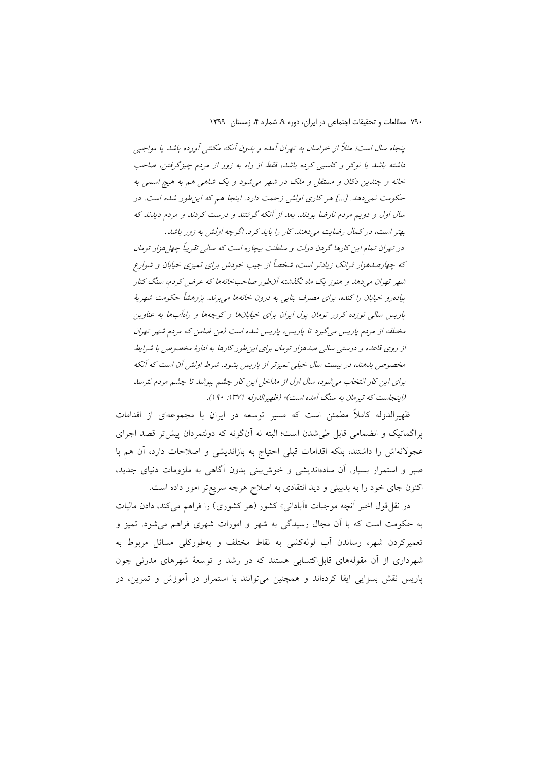پنجاه سال است؛ مثالً از خراسان به تهران آمده و بدون آنکه مکنتی آورده باشد یا مواجبی داشته باشد یا نوکر و کاسبی کرده باشد، فقط از راه به زور از مردم چیزگرفتن، صاحب خانه و چندین دکان و مستقل و ملک در شهر میشود و یک شاهی هم به هیچ اسمی به حکومت نمیدهد. ]...[ هر کاری اولش زحمت دارد. اینجا هم که اینطور شده است. در سال اول و دویم مردم نارضا بودند. بعد از آنکه گرفتند و درست کردند و مردم دیدند که

بهتر است، در کمال رضایت میدهند. کار را باید کرد. اگرچه اولش به زور باشد*.* در تهران تمام این کارها گردن دولت و سلطنت بیچاره است که سالی تقریباً چهلهزار تومان که چهارصدهزار فرانک زیادتر است، شخصاً از جیب خودش برای تمیزی خیابان و شوارع شهر تهران میدهد و هنوز یک ماه نگذشته آنطور صاحبخانهها که عرض کردم، سنگ کنار پیادهرو خیابان را کنده، برای مصرف بنایی به درون خانهها میبرند. پژوهشاً حکومت شهریة پاریس سالی نوزده کرور تومان پول ایران برای خیابانها و کوچهها و راهآبها به عناوین مختلفه از مردم پاریس میگیرد تا پاریس، پاریس شده است )من ضامن که مردم شهر تهران از روی قاعده و درستی سالی صدهزار تومان برای اینطور کارها به ادارة مخصوص با شرایط مخصوص بدهند، در بیست سال خیلی تمیزتر از پاریس بشود. شرط اولش آن است که آنکه برای این کار انتخاب میشود، سال اول از مداخل این کار چشم بپوشد تا چشم مردم نترسد (اینجاست که تیرمان به سنگ آمده است)» (ظهیرالدوله ۱۳۷۱: ۱۹۰).

ظهیرالدوله کامالً مطمئن است که مسیر توسعه در ایران با مجموعهای از اقدامات پراگماتیک و انضمامی قابل طیشدن است؛ البته نه آنگونه که دولتمردان پیشتر قصد اجرای عجوالنهاش را داشتند، بلکه اقدامات قبلی احتیاج به بازاندیشی و اصالحات دارد، آن هم با صبر و استمرار بسیار. آن سادهاندیشی و خوشبینی بدون آگاهی به ملزومات دنیای جدید، اکنون جای خود را به بدبینی و دید انتقادی به اصالح هرچه سریعتر امور داده است.

در نقل قول اخیر آنچه موجبات «آبادانی» کشور (هر کشوری) را فراهم میکند، دادن مالیات به حکومت است که با آن مجال رسیدگی به شهر و امورات شهری فراهم میشود. تمیز و تعمیرکردن شهر، رساندن آب لولهکشی به نقاط مختلف و بهطورکلی مسائل مربوط به شهرداری از آن مقولههای قابل اکتسابی هستند که در رشد و توسعهٔ شهرهای مدرنی چون پاریس نقش بسزایی ایفا کردهاند و همچنین میتوانند با استمرار در آموزش و تمرین، در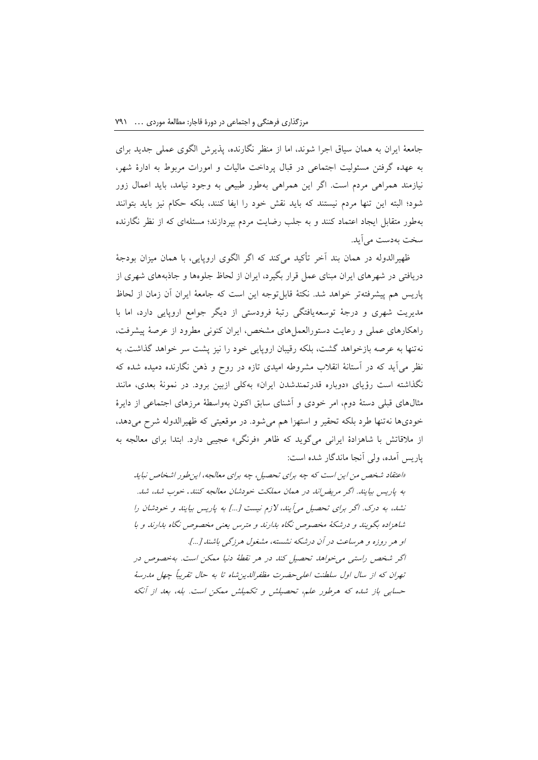جامعة ایران به همان سیاق اجرا شوند، اما از منظر نگارنده، پذیرش الگوی عملی جدید برای به عهده گرفتن مسئولیت اجتماعی در قبال پرداخت مالیات و امورات مربوط به ادارة شهر، نیازمند همراهی مردم است. اگر این همراهی بهطور طبیعی به وجود نیامد، باید اعمال زور شود؛ البته این تنها مردم نیستند که باید نقش خود را ایفا کنند، بلکه حکام نیز باید بتوانند بهطور متقابل ایجاد اعتماد کنند و به جلب رضایت مردم بپردازند؛ مسئلهای که از نظر نگارنده سخت بهدست میآید.

ظهیرالدوله در همان بند آخر تأکید میکند که اگر الگوی اروپایی، با همان میزان بودجة دریافتی در شهرهای ایران مبنای عمل قرار بگیرد، ایران از لحاظ جلوهها و جاذبههای شهری از پاریس هم پیشرفتهتر خواهد شد. نکتة قابلتوجه این است که جامعة ایران آن زمان از لحاظ مدیریت شهری و درجة توسعهیافتگی رتبة فرودستی از دیگر جوامع اروپایی دارد، اما با راهکارهای عملی و رعایت دستورالعملهای مشخص، ایران کنونی مطرود از عرصة پیشرفت، نهتنها به عرصه بازخواهد گشت، بلکه رقیبان اروپایی خود را نیز پشت سر خواهد گذاشت. به نظر میآید که در آستانة انقالب مشروطه امیدی تازه در روح و ذهن نگارنده دمیده شده که نگذاشته است رؤیای »دوباره قدرتمندشدن ایران« بهکلی ازبین برود. در نمونة بعدی، مانند مثالهای قبلی دستة دوم، امر خودی و آشنای سابق اکنون بهواسطة مرزهای اجتماعی از دایرة خودیها نهتنها طرد بلکه تحقیر و استهزا هم میشود. در موقعیتی که ظهیرالدوله شرح میدهد، از مالقاتش با شاهزادة ایرانی میگوید که ظاهر »فرنگی« عجیبی دارد. ابتدا برای معالجه به پاریس آمده، ولی آنجا ماندگار شده است:

»اعتقاد شخص من این است که چه برای تحصیل، چه برای معالجه، اینطور اشخاص نباید به پاریس بیایند. اگر مریضاند در همان مملکت خودشان معالجه کنند*.* خوب شد، شد. نشد، به درک. اگر برای تحصیل میآیند، الزم نیست ]...[ به پاریس بیایند و خودشان را شاهزاده بگویند و درشکة مخصوص نگاه بدارند و مترس یعنی مخصوص نگاه بدارند و با او هر روزه و هرساعت در آن درشکه نشسته، مشغول هرزگی باشند ]...[. اگر شخص راستی میخواهد تحصیل کند در هر نقطة دنیا ممکن است. بهخصوص در تهران که از سال اول سلطنت اعلیحضرت مظفرالدینشاه تا به حال تقریباً چهل مدرسة حسابی باز شده که هرطور علم، تحصیلش و تکمیلش ممکن است. بله، بعد از آنکه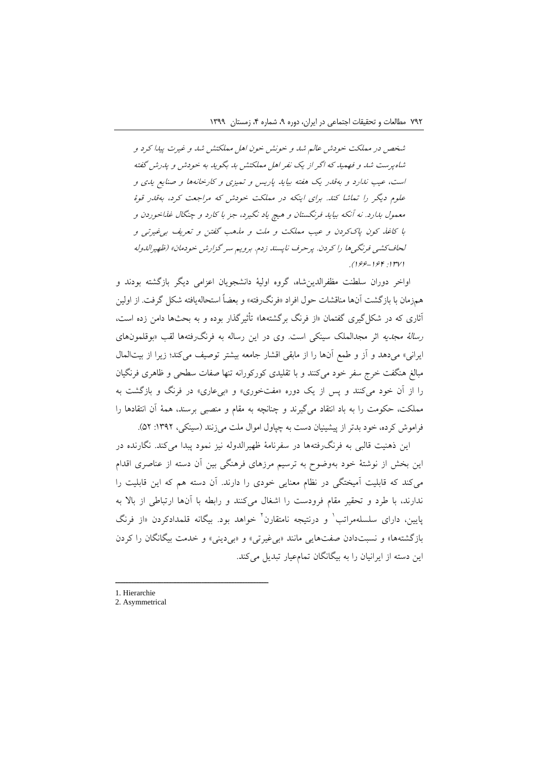شخص در مملکت خودش عالم شد و خونش خون اهل مملکتش شد و غیرت پیدا کرد و شاهپرست شد و فهمید که اگر از یک نفر اهل مملکتش بد بگوید به خودش و پدرش گفته است، عیب ندارد و بهقدر یک هفته بیاید پاریس و تمیزی و کارخانهها و صنایع یدی و علوم دیگر را تماشا کند. برای اینکه در مملکت خودش که مراجعت کرد، بهقدر قوة معمول بدارد. نه آنکه بیاید فرنگستان و هیچ یاد نگیرد، جز با کارد و چنگال غذاخوردن و با کاغذ کون پاککردن و عیب مملکت و ملت و مذهب گفتن و تعریف بیغیرتی و لحافکشی فرنگیها را کردن. پرحرف ناپسند زدم. برویم سر گزارش خودمان« )ظهیرالدوله .) ۱۶۴: ۱۶۴-ع

اواخر دوران سلطنت مظفرالدینشاه، گروه اولیة دانشجویان اعزامی دیگر بازگشته بودند و همزمان با بازگشت آنها مناقشات حول افراد »فرنگرفته« و بعضاً استحالهیافته شکل گرفت. از اولین آثاری که در شکلگیری گفتمان »از فرنگ برگشتهها« تأثیرگذار بوده و به بحثها دامن زده است، رسالة مجدیه اثر مجدالملک سینکی است. وی در این رساله به فرنگرفتهها لقب »بوقلمونهای ایرانی» میدهد و آز و طمع آنها را از مابقی اقشار جامعه بیشتر توصیف میکند؛ زیرا از بیتالمال مبالغ هنگفت خرج سفر خود میکنند و با تقلیدی کورکورانه تنها صفات سطحی و ظاهری فرنگیان را از آن خود میکنند و پس از یک دوره »مفتخوری« و »بیعاری« در فرنگ و بازگشت به مملکت، حکومت را به باد انتقاد میگیرند و چنانچه به مقام و منصبی برسند، همة آن انتقادها را فراموش کرده، خود بدتر از پیشینیان دست به چپاول اموال ملت می زنند (سینکی، ۱۳۹۲: ۵۲).

این ذهنیت قالبی به فرنگرفتهها در سفرنامة ظهیرالدوله نیز نمود پبدا میکند. نگارنده در این بخش از نوشتة خود بهوضوح به ترسیم مرزهای فرهنگی بین آن دسته از عناصری اقدام میکند که قابلیت آمیختگی در نظام معنایی خودی را دارند. آن دسته هم که این قابلیت را ندارند، با طرد و تحقیر مقام فرودست را اشغال میکنند و رابطه با آنها ارتباطی از باال به پایین، دارای سلسلهمراتب<sup>٬</sup> و درنتیجه نامتقارن<sup>۲</sup> خواهد بود. بیگانه قلمدادکردن «از فرنگ بازگشتهها» و نسبتدادن صفتهایی مانند «بی غیرتی» و «بی دینی» و خدمت بیگانگان را کردن این دسته از ایرانیان را به بیگانگان تمامعیار تبدیل میکند.

1. Hierarchie

<sup>2.</sup> Asymmetrical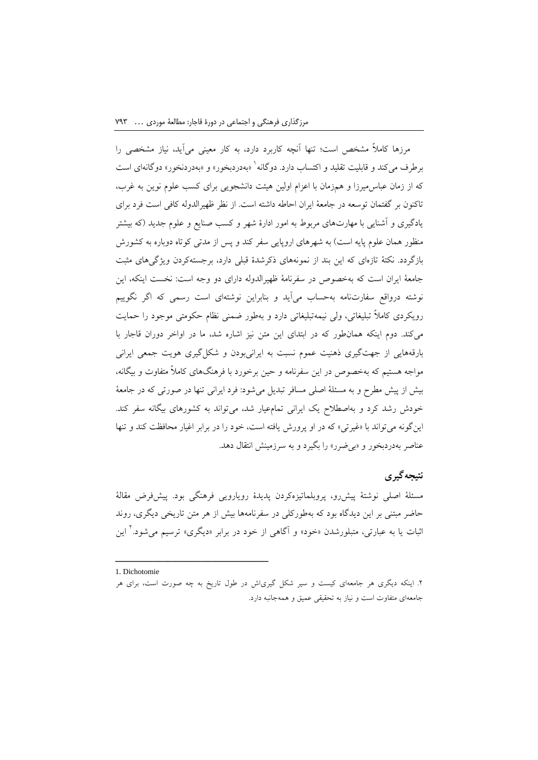مرزها کامالً مشخص است؛ تنها آنچه کاربرد دارد، به کار معینی میآید، نیاز مشخصی را برطرف میکند و قابلیت تقلید و اکتساب دارد. دوگانه` «بهدردبخور» و «بهدردنخور» دوگانهای است که از زمان عباسمیرزا و همزمان با اعزام اولین هیئت دانشجویی برای کسب علوم نوین به غرب، تاکنون بر گفتمان توسعه در جامعة ایران احاطه داشته است. از نظر ظهیرالدوله کافی است فرد برای یادگیری و آشنایی با مهارتهای مربوط به امور ادارة شهر و کسب صنایع و علوم جدید )که بیشتر منظور همان علوم پایه است) به شهرهای اروپایی سفر کند و پس از مدتی کوتاه دوباره به کشورش بازگردد. نکتة تازهای که این بند از نمونههای ذکرشدة قبلی دارد، برجستهکردن ویژگیهای مثبت جامعة ایران است که بهخصوص در سفرنامة ظهیرالدوله دارای دو وجه است: نخست اینکه، این نوشته درواقع سفارتنامه بهحساب میآید و بنابراین نوشتهای است رسمی که اگر نگوییم رویکردی کامالً تبلیغاتی، ولی نیمهتبلیغاتی دارد و بهطور ضمنی نظام حکومتی موجود را حمایت میکند. دوم اینکه همانطور که در ابتدای این متن نیز اشاره شد، ما در اواخر دوران قاجار با بارقههایی از جهتگیری ذهنیت عموم نسبت به ایرانیبودن و شکلگیری هویت جمعی ایرانی مواجه هستیم که بهخصوص در این سفرنامه و حین برخورد با فرهنگهای کامالً متفاوت و بیگانه، بیش از پیش مطرح و به مسئلة اصلی مسافر تبدیل میشود: فرد ایرانی تنها در صورتی که در جامعة خودش رشد کرد و بهاصطالح یک ایرانی تمامعیار شد، میتواند به کشورهای بیگانه سفر کند. اینگونه میتواند با »غیرتی« که در او پرورش یافته است، خود را در برابر اغیار محافظت کند و تنها عناصر بهدردبخور و »بیضرر« را بگیرد و به سرزمینش انتقال دهد.

# **نتیجهگیری**

مسئلة اصلی نوشتة پیشرو، پروبلماتیزهکردن پدیدة رویارویی فرهنگی بود. پیشفرض مقالة حاضر مبتنی بر این دیدگاه بود که بهطورکلی در سفرنامهها بیش از هر متن تاریخی دیگری، روند ثبات یا به عبارتی، متبلورشدن «خود» و آگاهی از خود در برابر «دیگری» ترسیم میشود.<sup>۲</sup> این

<sup>1.</sup> Dichotomie

<sup>.2</sup> اینکه دیگری هر جامعهای کیست و سیر شکل گیریاش در طول تاریخ به چه صورت است، برای هر جامعهای متفاوت است و نیاز به تحقیقی عمیق و همهجانبه دارد.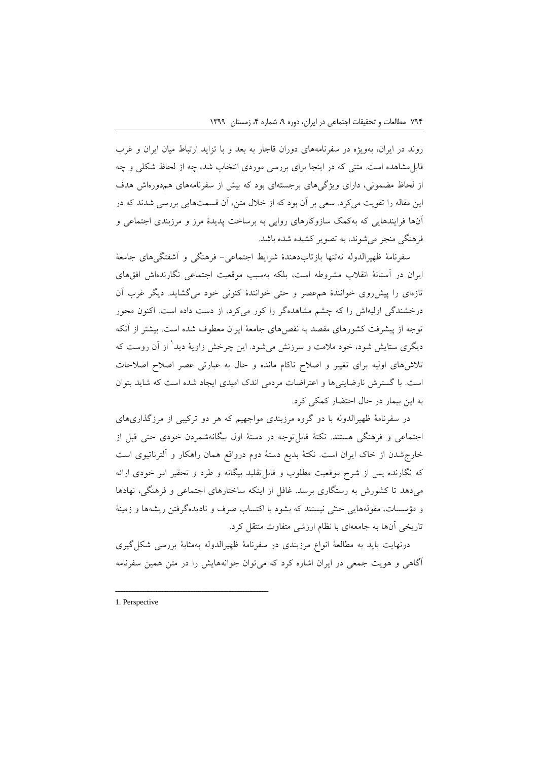روند در ایران، بهویژه در سفرنامههای دوران قاجار به بعد و با تزاید ارتباط میان ایران و غرب قابلمشاهده است. متنی که در اینجا برای بررسی موردی انتخاب شد، چه از لحاظ شکلی و چه از لحاظ مضمونی، دارای ویژگیهای برجستهای بود که بیش از سفرنامههای همدورهاش هدف این مقاله را تقویت میکرد. سعی بر آن بود که از خالل متن، آن قسمتهایی بررسی شدند که در آنها فرایندهایی که بهکمک سازوکارهای روایی به برساخت پدیدة مرز و مرزبندی اجتماعی و فرهنگی منجر میشوند، به تصویر کشیده شده باشد.

سفرنامة ظهیرالدوله نهتنها بازتابدهندة شرایط اجتماعی- فرهنگی و آشفتگیهای جامعة ایران در آستانة انقالب مشروطه است، بلکه بهسبب موقعیت اجتماعی نگارندهاش افقهای تازهای را پیشروی خوانندة همعصر و حتی خوانندة کنونی خود میگشاید. دیگر غرب آن درخشندگی اولیهاش را که چشم مشاهدهگر را کور میکرد، از دست داده است. اکنون محور توجه از پیشرفت کشورهای مقصد به نقصهای جامعة ایران معطوف شده است. بیشتر از آنکه دیگری ستایش شود، خود ملامت و سرزنش میشود. این چرخش زاویهٔ دید<sup>۱</sup> از آن روست که تالشهای اولیه برای تغییر و اصالح ناکام مانده و حال به عبارتی عصر اصالح اصالحات است. با گسترش نارضایتیها و اعتراضات مردمی اندک امیدی ایجاد شده است که شاید بتوان به این بیمار در حال احتضار کمکی کرد.

در سفرنامة ظهیرالدوله با دو گروه مرزبندی مواجهیم که هر دو ترکیبی از مرزگذاریهای اجتماعی و فرهنگی هستند. نکتة قابلتوجه در دستة اول بیگانهشمردن خودی حتی قبل از خارجشدن از خاک ایران است. نکتة بدیع دستة دوم درواقع همان راهکار و آلترناتیوی است که نگارنده پس از شرح موقعیت مطلوب و قابلتقلید بیگانه و طرد و تحقیر امر خودی ارائه میدهد تا کشورش به رستگاری برسد. غافل از اینکه ساختارهای اجتماعی و فرهنگی، نهادها و مؤسسات، مقولههایی خنثی نیستند که بشود با اکتساب صرف و نادیدهگرفتن ریشهها و زمینة تاریخی آنها به جامعهای با نظام ارزشی متفاوت منتقل کرد.

درنهایت باید به مطالعة انواع مرزبندی در سفرنامة ظهیرالدوله بهمثابة بررسی شکلگیری آگاهی و هویت جمعی در ایران اشاره کرد که میتوان جوانههایش را در متن همین سفرنامه

1. Perspective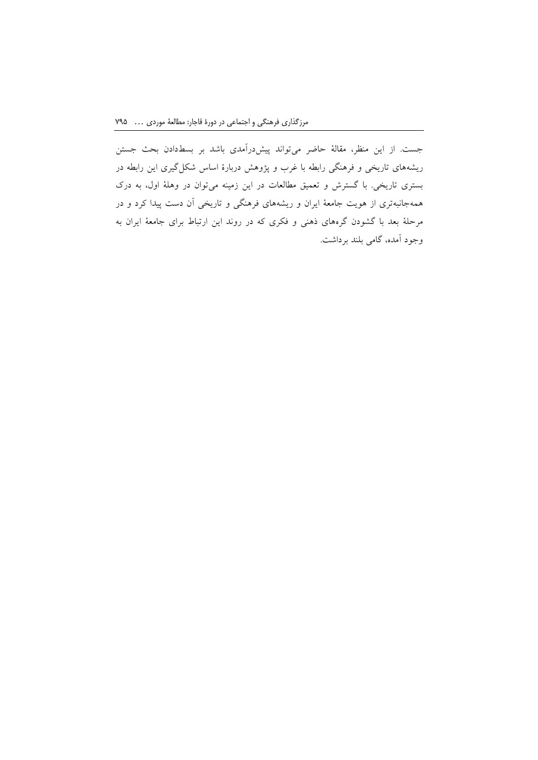جست. از این منظر، مقالة حاضر میتواند پیشدرآمدی باشد بر بسطدادن بحث جستن ریشههای تاریخی و فرهنگی رابطه با غرب و پژوهش دربارة اساس شکلگیری این رابطه در بستری تاریخی. با گسترش و تعمیق مطالعات در این زمینه میتوان در وهلة اول، به درک همهجانبهتری از هویت جامعة ایران و ریشههای فرهنگی و تاریخی آن دست پیدا کرد و در مرحلة بعد با گشودن گرههای ذهنی و فکری که در روند این ارتباط برای جامعة ایران به وجود آمده، گامی بلند برداشت.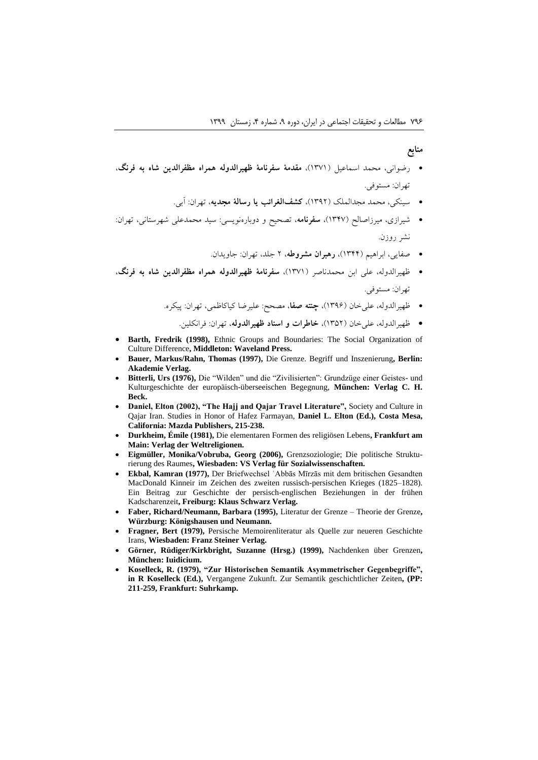#### **منابع**

- رضوانی، محمد اسماعیل )1371(، **مقدمة سفرنامة ظهیرالدوله همراه مظفرالدین شاه به فرنگ**، تهران: مستوفی.
	- سینکی، محمد مجدالملک )1392(، **کشفالغرائب یا رسالة مجدیه**، تهران: آبی.
- شیرازی، میرزاصالح )1347(، **سفرنامه**، تصحیح و دوبارهنویسی: سید محمدعلی شهرستانی، تهران: نشر روزن.
	- صفایی، ابراهیم )1344(، **رهبران مشروطه**، 2 جلد، تهران: جاویدان.
- ظهیرالدوله، علی ابن محمدناصر )1371(، **سفرنامة ظهیرالدوله همراه مظفرالدین شاه به فرنگ**، تهران: مستوفی.
	- ظهیرالدوله، علیخان )1396(، **چنته صفا**، مصحح: علیرضا کیاکاظمی، تهران: پیکره.
		- ظهیرالدوله، علیخان )1352(، **خاطرات و اسناد ظهیرالدوله**، تهران: فرانکلین.
- **Barth, Fredrik (1998),** Ethnic Groups and Boundaries: The Social Organization of Culture Difference**, Middleton: Waveland Press.**
- **Bauer, Markus/Rahn, Thomas (1997),** Die Grenze. Begriff und Inszenierung**, Berlin: Akademie Verlag.**
- **Bitterli, Urs (1976),** Die "Wilden" und die "Zivilisierten": Grundzüge einer Geistes- und Kulturgeschichte der europäisch-überseeischen Begegnung, **München: Verlag C. H. Beck.**
- **Daniel, Elton (2002), "The Hajj and Qajar Travel Literature",** Society and Culture in Qajar Iran. Studies in Honor of Hafez Farmayan, **Daniel L. Elton (Ed.), Costa Mesa, California: Mazda Publishers, 215-238.**
- **Durkheim, Émile (1981),** Die elementaren Formen des religiösen Lebens**, Frankfurt am Main: Verlag der Weltreligionen.**
- **Eigmüller, Monika/Vobruba, Georg (2006),** Grenzsoziologie; Die politische Strukturierung des Raumes**, Wiesbaden: VS Verlag für Sozialwissenschaften.**
- **Ekbal, Kamran (1977),** Der Briefwechsel ʿAbbās Mīrzās mit dem britischen Gesandten MacDonald Kinneir im Zeichen des zweiten russisch-persischen Krieges (1825–1828). Ein Beitrag zur Geschichte der persisch-englischen Beziehungen in der frühen Kadscharenzeit**, Freiburg: Klaus Schwarz Verlag.**
- **Faber, Richard/Neumann, Barbara (1995),** Literatur der Grenze Theorie der Grenze**, Würzburg: Königshausen und Neumann.**
- **Fragner, Bert (1979),** Persische Memoirenliteratur als Quelle zur neueren Geschichte Irans, **Wiesbaden: Franz Steiner Verlag.**
- **Görner, Rüdiger/Kirkbright, Suzanne (Hrsg.) (1999),** Nachdenken über Grenzen**, München: Iuidicium.**
- **Koselleck, R. (1979), "Zur Historischen Semantik Asymmetrischer Gegenbegriffe", in R Koselleck (Ed.),** Vergangene Zukunft. Zur Semantik geschichtlicher Zeiten**, (PP: 211-259, Frankfurt: Suhrkamp.**